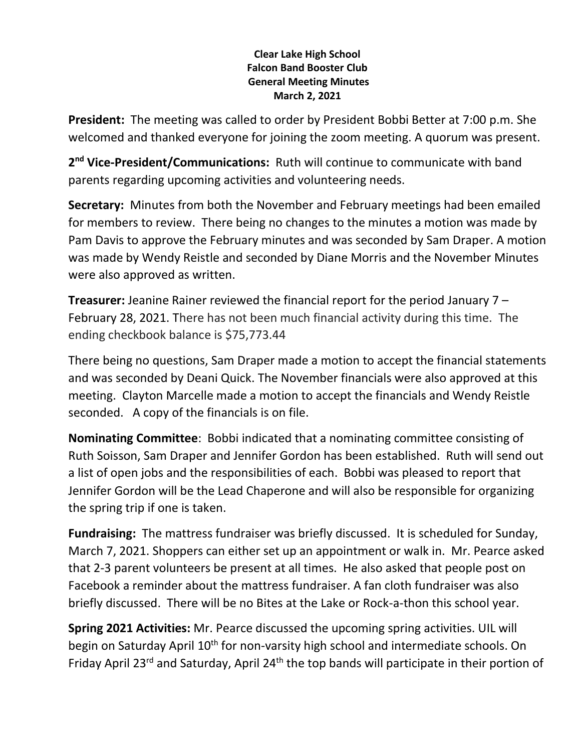## **Clear Lake High School Falcon Band Booster Club General Meeting Minutes March 2, 2021**

**President:** The meeting was called to order by President Bobbi Better at 7:00 p.m. She welcomed and thanked everyone for joining the zoom meeting. A quorum was present.

2<sup>nd</sup> Vice-President/Communications: Ruth will continue to communicate with band parents regarding upcoming activities and volunteering needs.

**Secretary:** Minutes from both the November and February meetings had been emailed for members to review. There being no changes to the minutes a motion was made by Pam Davis to approve the February minutes and was seconded by Sam Draper. A motion was made by Wendy Reistle and seconded by Diane Morris and the November Minutes were also approved as written.

**Treasurer:** Jeanine Rainer reviewed the financial report for the period January 7 – February 28, 2021. There has not been much financial activity during this time. The ending checkbook balance is \$75,773.44

There being no questions, Sam Draper made a motion to accept the financial statements and was seconded by Deani Quick. The November financials were also approved at this meeting. Clayton Marcelle made a motion to accept the financials and Wendy Reistle seconded. A copy of the financials is on file.

**Nominating Committee**: Bobbi indicated that a nominating committee consisting of Ruth Soisson, Sam Draper and Jennifer Gordon has been established. Ruth will send out a list of open jobs and the responsibilities of each. Bobbi was pleased to report that Jennifer Gordon will be the Lead Chaperone and will also be responsible for organizing the spring trip if one is taken.

**Fundraising:** The mattress fundraiser was briefly discussed. It is scheduled for Sunday, March 7, 2021. Shoppers can either set up an appointment or walk in. Mr. Pearce asked that 2-3 parent volunteers be present at all times. He also asked that people post on Facebook a reminder about the mattress fundraiser. A fan cloth fundraiser was also briefly discussed. There will be no Bites at the Lake or Rock-a-thon this school year.

**Spring 2021 Activities:** Mr. Pearce discussed the upcoming spring activities. UIL will begin on Saturday April 10<sup>th</sup> for non-varsity high school and intermediate schools. On Friday April 23<sup>rd</sup> and Saturday, April 24<sup>th</sup> the top bands will participate in their portion of